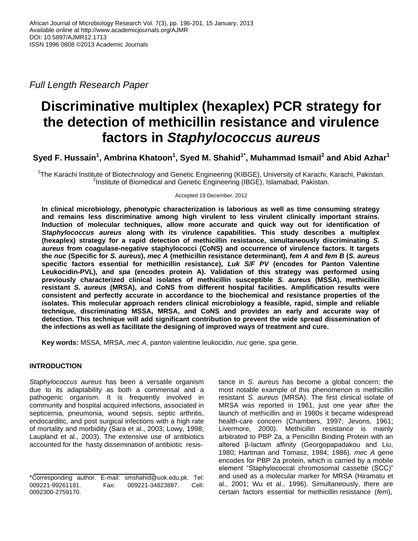*Full Length Research Paper*

# **Discriminative multiplex (hexaplex) PCR strategy for the detection of methicillin resistance and virulence factors in** *Staphylococcus aureus*

 $\boldsymbol{\delta}$ Syed F. Hussain $^1$ , Ambrina Khatoon $^1$ , Syed M. Shahid $^{1^\star}$ , Muhammad Ismail $^2$  and Abid Azhar $^1$ 

<sup>1</sup>The Karachi Institute of Biotechnology and Genetic Engineering (KIBGE), University of Karachi, Karachi, Pakistan. <sup>2</sup>Institute of Biomedical and Genetic Engineering (IBGE), Islamabad, Pakistan.

Accepted 19 December, 2012

**In clinical microbiology, phenotypic characterization is laborious as well as time consuming strategy and remains less discriminative among high virulent to less virulent clinically important strains. Induction of molecular techniques, allow more accurate and quick way out for identification of**  *Staphylococcus aureus* **along with its virulence capabilities. This study describes a multiplex (hexaplex) strategy for a rapid detection of methicillin resistance, simultaneously discriminating** *S. aureus* **from coagulase-negative staphylococci (CoNS) and occurrence of virulence factors. It targets the** *nuc* **(Specific for** *S. aureus***),** *mec A* **(methicillin resistance determinant),** *fem A* **and** *fem B* **(***S. aureus*  **specific factors essential for methicillin resistance),** *Luk S/F PV* **(encodes for Panton Valentine Leukocidin-PVL), and** *spa* **(encodes protein A). Validation of this strategy was performed using previously characterized clinical isolates of methicillin susceptible** *S. aureus* **(MSSA), methicillin resistant** *S. aureus* **(MRSA), and CoNS from different hospital facilities. Amplification results were consistent and perfectly accurate in accordance to the biochemical and resistance properties of the isolates. This molecular approach renders clinical microbiology a feasible, rapid, simple and reliable technique, discriminating MSSA, MRSA, and CoNS and provides an early and accurate way of detection. This technique will add significant contribution to prevent the wide spread dissemination of the infections as well as facilitate the designing of improved ways of treatment and cure.**

**Key words:** MSSA, MRSA, *mec A*, panton valentine leukocidin, *nuc* gene, *spa* gene.

# **INTRODUCTION**

*Staphylococcus aureus* has been a versatile organism due to its adaptability as both a commensal and a pathogenic organism. It is frequently involved in community and hospital acquired infections, associated in septicemia, pneumonia, wound sepsis, septic arthritis, endocarditic, and post surgical infections with a high rate of mortality and morbidity (Sara et al., 2003; Lowy, 1998; Laupland et al., 2003). The extensive use of antibiotics accounted for the hasty dissemination of antibiotic resistance in *S. aureus* has become a global concern; the most notable example of this phenomenon is methicillin resistant *S. aureus* (MRSA). The first clinical isolate of MRSA was reported in 1961, just one year after the launch of methicillin and in 1980s it became widespread health-care concern (Chambers, 1997; Jevons, 1961; Livermore, 2000). Methicillin resistance is mainly arbitrated to PBP 2a, a Penicillin Binding Protein with an altered β-lactam affinity (Georgopapadakou and Liu, 1980; Hartman and Tomasz, 1984; 1986). *mec A* gene encodes for PBP 2a protein, which is carried by a mobile element "Staphylococcal chromosomal cassette (SCC)" and used as a molecular marker for MRSA (Hiramatu et al., 2001; Wu et al., 1996). Simultaneously, there are certain factors essential for methicillin resistance (*fem*),

<sup>\*</sup>Corresponding author. E-mail: smshahid@uok.edu.pk. Tel: 009221-99261181. Fax: 009221-34823887. Cell: 0092300-2759170.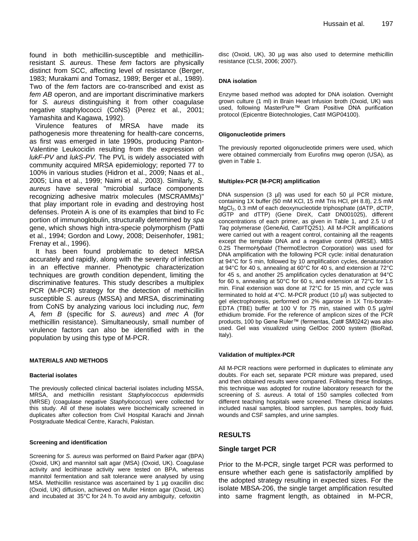found in both methicillin-susceptible and methicillinresistant *S. aureus*. These *fem* factors are physically distinct from SCC, affecting level of resistance (Berger, 1983; Murakami and Tomasz, 1989; Berger et al., 1989). Two of the *fem* factors are co-transcribed and exist as *fem AB* operon, and are important discriminative markers for *S. aureus* distinguishing it from other coagulase negative staphylococci (CoNS) (Perez et al., 2001; Yamashita and Kagawa, 1992).

Virulence features of MRSA have made its pathogenesis more threatening for health-care concerns, as first was emerged in late 1990s, producing Panton-Valentine Leukocidin resulting from the expression of *lukF-PV* and *lukS-PV.* The PVL is widely associated with community acquired MRSA epidemiology; reported 77 to 100% in various studies (Hidron et al., 2009; Naas et al., 2005; Lina et al., 1999; Naimi et al., 2003). Similarly, *S. aureus* have several "microbial surface components recognizing adhesive matrix molecules (MSCRAMMs)" that play important role in evading and destroying host defenses. Protein A is one of its examples that bind to Fc portion of immunoglobulin, structurally determined by *spa* gene, which shows high intra-specie polymorphism (Patti et al., 1994; Gordon and Lowy, 2008; Deisenhofer, 1981; Frenay et al., 1996).

It has been found problematic to detect MRSA accurately and rapidly, along with the severity of infection in an effective manner. Phenotypic characterization techniques are growth condition dependent, limiting the discriminative features. This study describes a multiplex PCR (M-PCR) strategy for the detection of methicillin susceptible *S. aureus* (MSSA) and MRSA, discriminating from CoNS by analyzing various loci including *nuc, fem A, fem B* (specific for *S. aureus*) and *mec A* (for methicillin resistance). Simultaneously, small number of virulence factors can also be identified with in the population by using this type of M-PCR.

## **MATERIALS AND METHODS**

## **Bacterial isolates**

The previously collected clinical bacterial isolates including MSSA, MRSA, and methicillin resistant *Staphylococcus epidermidis*  (MRSE) (coagulase negative *Staphylococcus*) were collected for this study. All of these isolates were biochemically screened in duplicates after collection from Civil Hospital Karachi and Jinnah Postgraduate Medical Centre, Karachi, Pakistan.

#### **Screening and identification**

Screening for *S. aureus* was performed on Baird Parker agar (BPA) (Oxoid, UK) and mannitol salt agar (MSA) (Oxoid, UK). Coagulase activity and lecithinase activity were tested on BPA, whereas mannitol fermentation and salt tolerance were analysed by using MSA. Methicillin resistance was ascertained by 1 µg oxacillin disc (Oxoid, UK) diffusion, achieved on Muller Hinton agar (Oxoid, UK) and incubated at 35°C for 24 h. To avoid any ambiguity, cefoxitin

disc (Oxoid, UK), 30 µg was also used to determine methicillin resistance (CLSI, 2006; 2007).

#### **DNA isolation**

Enzyme based method was adopted for DNA isolation. Overnight grown culture (1 ml) in Brain Heart Infusion broth (Oxoid, UK) was used, following MasterPure™ Gram Positive DNA purification protocol (Epicentre Biotechnologies, Cat# MGP04100).

#### **Oligonucleotide primers**

The previously reported oligonucleotide primers were used, which were obtained commercially from Eurofins mwg operon (USA), as given in Table 1.

#### **Multiplex-PCR (M-PCR) amplification**

DNA suspension (3 µl) was used for each 50 µl PCR mixture, containing 1X buffer (50 mM KCl, 15 mM Tris HCl, pH 8.8), 2.5 mM MgCl<sub>2</sub>, 0.3 mM of each deoxynucleotide triphosphate (dATP, dCTP, dGTP and dTTP) (Gene DireX, Cat# DN001025), different concentrations of each primer, as given in Table 1, and 2.5 U of *Taq* polymerase (GeneAid, Cat#TQ251). All M-PCR amplifications were carried out with a reagent control, containing all the reagents except the template DNA and a negative control (MRSE). MBS 0.2S Thermo*Hybaid* (ThermoElectron Corporation) was used for DNA amplification with the following PCR cycle: initial denaturation at 94°C for 5 min, followed by 10 amplification cycles, denaturation at 94°C for 40 s, annealing at 60°C for 40 s, and extension at 72°C for 45 s, and another 25 amplification cycles denaturation at 94°C for 60 s, annealing at 50°C for 60 s, and extension at 72°C for 1.5 min. Final extension was done at 72°C for 15 min, and cycle was terminated to hold at 4°C. M-PCR product (10 µl) was subjected to gel electrophoresis, performed on 2% agarose in 1X Tris-borate-EDTA (TBE) buffer at 100 V for 75 min, stained with 0.5 µg/ml ethidium bromide. For the reference of amplicon sizes of the PCR products, 100 bp Gene Ruler™ (fermentas, Cat# SM0242) was also used. Gel was visualized using GelDoc 2000 system (BioRad, Italy).

#### **Validation of multiplex-PCR**

All M-PCR reactions were performed in duplicates to eliminate any doubts. For each set, separate PCR mixture was prepared, used and then obtained results were compared. Following these findings, this technique was adopted for routine laboratory research for the screening of *S. aureus*. A total of 150 samples collected from different teaching hospitals were screened. These clinical isolates included nasal samples, blood samples, pus samples, body fluid, wounds and CSF samples, and urine samples.

## **RESULTS**

### **Single target PCR**

Prior to the M-PCR, single target PCR was performed to ensure whether each gene is satisfactorily amplified by the adopted strategy resulting in expected sizes. For the isolate MBSA-206, the single target amplification resulted into same fragment length, as obtained in M-PCR,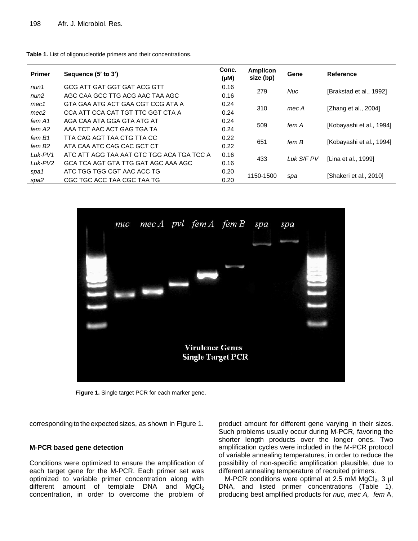| <b>Primer</b>       | Sequence (5' to 3')                       | Conc.<br>(µM) | Amplicon<br>size (bp) | Gene       | Reference                |  |
|---------------------|-------------------------------------------|---------------|-----------------------|------------|--------------------------|--|
| num1                | GCG ATT GAT GGT GAT ACG GTT               | 0.16          | 279                   |            |                          |  |
| num2                | AGC CAA GCC TTG ACG AAC TAA AGC           | 0.16          |                       | <b>Nuc</b> | [Brakstad et al., 1992]  |  |
| mec <sub>1</sub>    | GTA GAA ATG ACT GAA CGT CCG ATA A         | 0.24          | 310                   |            |                          |  |
| mec <sub>2</sub>    | CCA ATT CCA CAT TGT TTC GGT CTA A         | 0.24          |                       | mec A      | [Zhang et al., 2004]     |  |
| fem A1              | AGA CAA ATA GGA GTA ATG AT                | 0.24          | 509                   | fem A      | [Kobayashi et al., 1994] |  |
| fem A2              | AAA TCT AAC ACT GAG TGA TA                | 0.24          |                       |            |                          |  |
| fem B1              | TTA CAG AGT TAA CTG TTA CC                | 0.22          | 651                   | fem B      | [Kobayashi et al., 1994] |  |
| fem B2              | ATA CAA ATC CAG CAC GCT CT                | 0.22          |                       |            |                          |  |
| Luk-PV1             | ATC ATT AGG TAA AAT GTC TGG ACA TGA TCC A | 0.16          |                       | Luk S/F PV | [Lina et al., 1999]      |  |
| Luk-PV <sub>2</sub> | GCA TCA AGT GTA TTG GAT AGC AAA AGC       | 0.16          | 433                   |            |                          |  |
| spa1                | ATC TGG TGG CGT AAC ACC TG                | 0.20          |                       |            |                          |  |
| spa2                | CGC TGC ACC TAA CGC TAA TG                | 0.20          | 1150-1500             | spa        | [Shakeri et al., 2010]   |  |

**Table 1.** List of oligonucleotide primers and their concentrations.



**Figure 1.** Single target PCR for each marker gene.

corresponding to the expected sizes, as shown in Figure 1.

## **M-PCR based gene detection**

Conditions were optimized to ensure the amplification of each target gene for the M-PCR. Each primer set was optimized to variable primer concentration along with different amount of template DNA and  $MgCl<sub>2</sub>$ concentration, in order to overcome the problem of product amount for different gene varying in their sizes. Such problems usually occur during M-PCR, favoring the shorter length products over the longer ones. Two amplification cycles were included in the M-PCR protocol of variable annealing temperatures, in order to reduce the possibility of non-specific amplification plausible, due to different annealing temperature of recruited primers.

M-PCR conditions were optimal at 2.5 mM  $MgCl<sub>2</sub>$ , 3 µl DNA, and listed primer concentrations (Table 1), producing best amplified products for *nuc, mec A, fem* A,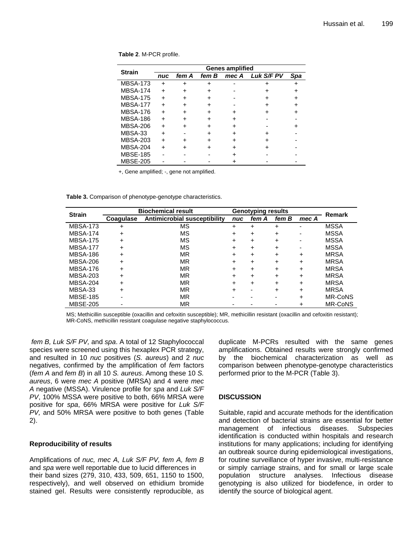| <b>Strain</b>   | <b>Genes amplified</b> |       |       |       |                   |     |  |  |
|-----------------|------------------------|-------|-------|-------|-------------------|-----|--|--|
|                 | nuc                    | fem A | fem B | mec A | <b>Luk S/F PV</b> | Spa |  |  |
| <b>MBSA-173</b> | +                      |       |       |       |                   |     |  |  |
| <b>MBSA-174</b> |                        |       |       |       |                   |     |  |  |
| <b>MBSA-175</b> | +                      |       |       |       |                   |     |  |  |
| <b>MBSA-177</b> |                        |       |       |       |                   |     |  |  |
| <b>MBSA-176</b> |                        |       |       |       |                   |     |  |  |
| <b>MBSA-186</b> |                        |       |       |       |                   |     |  |  |
| <b>MBSA-206</b> |                        |       |       |       |                   |     |  |  |
| MBSA-33         |                        |       |       |       |                   |     |  |  |
| <b>MBSA-203</b> |                        |       |       |       |                   |     |  |  |
| <b>MBSA-204</b> |                        |       |       |       |                   |     |  |  |
| <b>MBSE-185</b> |                        |       |       |       |                   |     |  |  |
| <b>MBSE-205</b> |                        |       |       |       |                   |     |  |  |

**Table 2**. M-PCR profile.

+, Gene amplified; -, gene not amplified.

**Table 3.** Comparison of phenotype-genotype characteristics.

| <b>Strain</b>   | <b>Biochemical result</b> |                              |     | <b>Genotyping results</b> |           |                          |                |  |
|-----------------|---------------------------|------------------------------|-----|---------------------------|-----------|--------------------------|----------------|--|
|                 | Coaquiase                 | Antimicrobial susceptibility | nuc | fem A                     | fem B     | mec A                    | Remark         |  |
| <b>MBSA-173</b> | $\ddot{}$                 | MS                           | +   | +                         | +         | ۰                        | <b>MSSA</b>    |  |
| <b>MBSA-174</b> | $\ddot{}$                 | MS                           | +   | ٠                         | ٠         | $\overline{\phantom{0}}$ | <b>MSSA</b>    |  |
| <b>MBSA-175</b> | $\ddot{}$                 | ΜS                           | +   | +                         | +         | ۰                        | <b>MSSA</b>    |  |
| <b>MBSA-177</b> | $\ddot{}$                 | MS                           | +   | +                         | $\ddot{}$ | $\overline{\phantom{0}}$ | <b>MSSA</b>    |  |
| <b>MBSA-186</b> | $\ddot{}$                 | MR                           | +   | +                         | +         | ÷                        | <b>MRSA</b>    |  |
| <b>MBSA-206</b> | $\ddot{}$                 | MR                           | +   | +                         | +         | ÷                        | <b>MRSA</b>    |  |
| <b>MBSA-176</b> | $\ddot{}$                 | MR                           | +   | +                         | ٠         | $\div$                   | <b>MRSA</b>    |  |
| MBSA-203        | $\ddot{}$                 | <b>MR</b>                    | ÷   | +                         | +         | ÷                        | <b>MRSA</b>    |  |
| <b>MBSA-204</b> | $\div$                    | <b>MR</b>                    | +   | +                         | ÷         | +                        | <b>MRSA</b>    |  |
| MBSA-33         | $\ddot{}$                 | MR                           | +   |                           | +         | $\div$                   | <b>MRSA</b>    |  |
| <b>MBSE-185</b> |                           | MR                           |     |                           |           | +                        | <b>MR-CoNS</b> |  |
| <b>MBSE-205</b> |                           | <b>MR</b>                    |     |                           |           |                          | <b>MR-CoNS</b> |  |

MS; Methicillin susceptible (oxacillin and cefoxitin susceptible); MR, methicillin resistant (oxacillin and cefoxitin resistant); MR-CoNS, methicillin resistant coagulase negative staphylococcus.

*fem B, Luk S/F PV,* and *spa*. A total of 12 Staphylococcal species were screened using this hexaplex PCR strategy, and resulted in 10 *nuc* positives (*S. aureus*) and 2 *nuc* negatives, confirmed by the amplification of *fem* factors (*fem A* and *fem B*) in all 10 *S. aureus*. Among these 10 *S. aureus*, 6 were *mec A* positive (MRSA) and 4 were *mec A* negative (MSSA). Virulence profile for *spa* and *Luk S/F PV*, 100% MSSA were positive to both, 66% MRSA were positive for *spa*, 66% MRSA were positive for *Luk S/F PV,* and 50% MRSA were positive to both genes (Table 2).

# **Reproducibility of results**

Amplifications of *nuc, mec A, Luk S/F PV, fem A, fem B*  and *spa* were well reportable due to lucid differences in their band sizes (279, 310, 433, 509, 651, 1150 to 1500, respectively), and well observed on ethidium bromide stained gel. Results were consistently reproducible, as

duplicate M-PCRs resulted with the same genes amplifications. Obtained results were strongly confirmed by the biochemical characterization as well as comparison between phenotype-genotype characteristics performed prior to the M-PCR (Table 3).

# **DISCUSSION**

Suitable, rapid and accurate methods for the identification and detection of bacterial strains are essential for better management of infectious diseases. Subspecies identification is conducted within hospitals and research institutions for many applications; including for identifying an outbreak source during epidemiological investigations, for routine surveillance of hyper invasive, multi-resistance or simply carriage strains, and for small or large scale population structure analyses. Infectious disease genotyping is also utilized for biodefence, in order to identify the source of biological agent.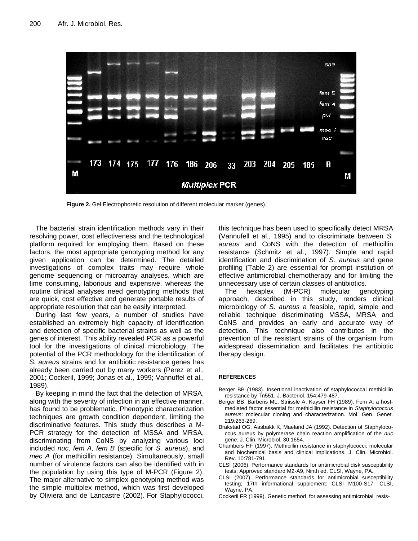

**Figure 2.** Gel Electrophoretic resolution of different molecular marker (genes).

The bacterial strain identification methods vary in their resolving power, cost effectiveness and the technological platform required for employing them. Based on these factors, the most appropriate genotyping method for any given application can be determined. The detailed investigations of complex traits may require whole genome sequencing or microarray analyses, which are time consuming, laborious and expensive, whereas the routine clinical analyses need genotyping methods that are quick, cost effective and generate portable results of appropriate resolution that can be easily interpreted.

During last few years, a number of studies have established an extremely high capacity of identification and detection of specific bacterial strains as well as the genes of interest. This ability revealed PCR as a powerful tool for the investigations of clinical microbiology. The potential of the PCR methodology for the identification of *S. aureus* strains and for antibiotic resistance genes has already been carried out by many workers (Perez et al., 2001; Cockeril, 1999; Jonas et al., 1999; Vannuffel et al., 1989).

By keeping in mind the fact that the detection of MRSA, along with the severity of infection in an effective manner, has found to be problematic. Phenotypic characterization techniques are growth condition dependent, limiting the discriminative features. This study thus describes a M-PCR strategy for the detection of MSSA and MRSA, discriminating from CoNS by analyzing various loci included *nuc, fem A, fem B* (specific for *S. aureus*), and *mec A* (for methicillin resistance). Simultaneously, small number of virulence factors can also be identified with in the population by using this type of M-PCR (Figure 2). The major alternative to simplex genotyping method was the simple multiplex method, which was first developed by Oliviera and de Lancastre (2002). For Staphylococci, this technique has been used to specifically detect MRSA (Vannufell et al., 1995) and to discriminate between *S. aureus* and CoNS with the detection of methicillin resistance (Schmitz et al., 1997). Simple and rapid identification and discrimination of *S. aureus* and gene profiling (Table 2) are essential for prompt institution of effective antimicrobial chemotherapy and for limiting the unnecessary use of certain classes of antibiotics.

The hexaplex (M-PCR) molecular genotyping approach, described in this study, renders clinical microbiology of *S. aureus* a feasible, rapid, simple and reliable technique discriminating MSSA, MRSA and CoNS and provides an early and accurate way of detection. This technique also contributes in the prevention of the resistant strains of the organism from widespread dissemination and facilitates the antibiotic therapy design.

#### **REFERENCES**

- Berger BB (1983). Insertional inactivation of staphylococcal methicillin resistance by Tn551. J. Bacteriol. 154:479-487.
- Berger BB, Barberis ML, Striissle A, Kayser FH (1989). Fem A: a hostmediated factor essential for methicillin resistance in *Staphylococcus aureus*: molecular cloning and characterization. Mol. Gen. Genet. 219:263-269.
- Brakstad OG, Aasbakk K, Maeland JA (1992). Detection of Staphylococcus aureus by polymerase chain reaction amplification of the *nuc* gene. J. Clin. Microbiol. 30:1654.
- Chambers HF (1997). Methicillin resistance in staphylococci: molecular and biochemical basis and clinical implications. J. Clin. Microbiol. Rev. 10:781-791.
- CLSI (2006). Performance standards for antimicrobial disk susceptibility tests: Approved standard M2-A9, Ninth ed. CLSI, Wayne, PA.
- CLSI (2007). Performance standards for antimicrobial susceptibility testing; 17th informational supplement: CLSI M100-S17. CLSI, Wayne, PA.
- Cockeril FR (1999). Genetic method for assessing antimicrobial resis-